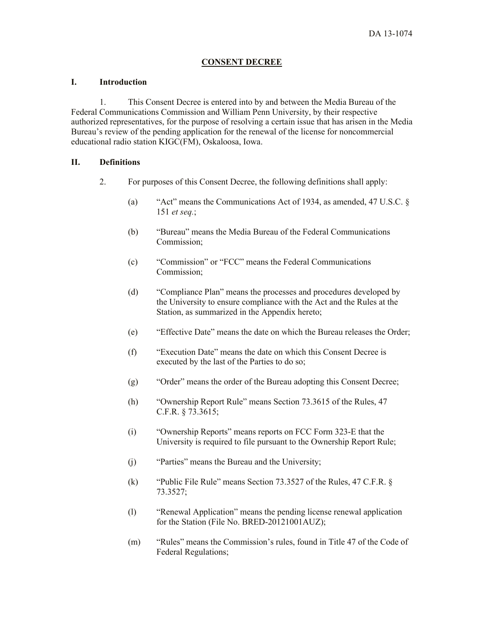# **CONSENT DECREE**

#### **I. Introduction**

1. This Consent Decree is entered into by and between the Media Bureau of the Federal Communications Commission and William Penn University, by their respective authorized representatives, for the purpose of resolving a certain issue that has arisen in the Media Bureau's review of the pending application for the renewal of the license for noncommercial educational radio station KIGC(FM), Oskaloosa, Iowa.

# **II. Definitions**

- 2. For purposes of this Consent Decree, the following definitions shall apply:
	- (a) "Act" means the Communications Act of 1934, as amended, 47 U.S.C. § 151 *et seq.*;
	- (b) "Bureau" means the Media Bureau of the Federal Communications Commission;
	- (c) "Commission" or "FCC" means the Federal Communications Commission;
	- (d) "Compliance Plan" means the processes and procedures developed by the University to ensure compliance with the Act and the Rules at the Station, as summarized in the Appendix hereto;
	- (e) "Effective Date" means the date on which the Bureau releases the Order;
	- (f) "Execution Date" means the date on which this Consent Decree is executed by the last of the Parties to do so;
	- (g) "Order" means the order of the Bureau adopting this Consent Decree;
	- (h) "Ownership Report Rule" means Section 73.3615 of the Rules, 47 C.F.R. § 73.3615;
	- (i) "Ownership Reports" means reports on FCC Form 323-E that the University is required to file pursuant to the Ownership Report Rule;
	- (j) "Parties" means the Bureau and the University;
	- (k) "Public File Rule" means Section 73.3527 of the Rules, 47 C.F.R. § 73.3527;
	- (l) "Renewal Application" means the pending license renewal application for the Station (File No. BRED-20121001AUZ);
	- (m) "Rules" means the Commission's rules, found in Title 47 of the Code of Federal Regulations;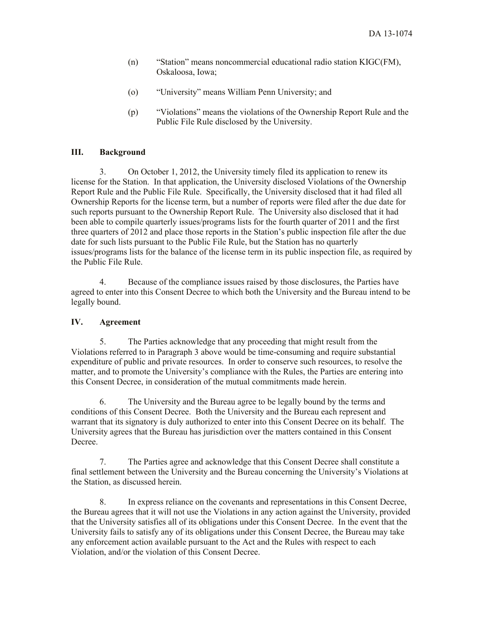- (n) "Station" means noncommercial educational radio station KIGC(FM), Oskaloosa, Iowa;
- (o) "University" means William Penn University; and
- (p) "Violations" means the violations of the Ownership Report Rule and the Public File Rule disclosed by the University.

# **III. Background**

3. On October 1, 2012, the University timely filed its application to renew its license for the Station. In that application, the University disclosed Violations of the Ownership Report Rule and the Public File Rule. Specifically, the University disclosed that it had filed all Ownership Reports for the license term, but a number of reports were filed after the due date for such reports pursuant to the Ownership Report Rule. The University also disclosed that it had been able to compile quarterly issues/programs lists for the fourth quarter of 2011 and the first three quarters of 2012 and place those reports in the Station's public inspection file after the due date for such lists pursuant to the Public File Rule, but the Station has no quarterly issues/programs lists for the balance of the license term in its public inspection file, as required by the Public File Rule.

4. Because of the compliance issues raised by those disclosures, the Parties have agreed to enter into this Consent Decree to which both the University and the Bureau intend to be legally bound.

# **IV. Agreement**

5. The Parties acknowledge that any proceeding that might result from the Violations referred to in Paragraph 3 above would be time-consuming and require substantial expenditure of public and private resources. In order to conserve such resources, to resolve the matter, and to promote the University's compliance with the Rules, the Parties are entering into this Consent Decree, in consideration of the mutual commitments made herein.

6. The University and the Bureau agree to be legally bound by the terms and conditions of this Consent Decree. Both the University and the Bureau each represent and warrant that its signatory is duly authorized to enter into this Consent Decree on its behalf. The University agrees that the Bureau has jurisdiction over the matters contained in this Consent Decree.

7. The Parties agree and acknowledge that this Consent Decree shall constitute a final settlement between the University and the Bureau concerning the University's Violations at the Station, as discussed herein.

8. In express reliance on the covenants and representations in this Consent Decree, the Bureau agrees that it will not use the Violations in any action against the University, provided that the University satisfies all of its obligations under this Consent Decree. In the event that the University fails to satisfy any of its obligations under this Consent Decree, the Bureau may take any enforcement action available pursuant to the Act and the Rules with respect to each Violation, and/or the violation of this Consent Decree.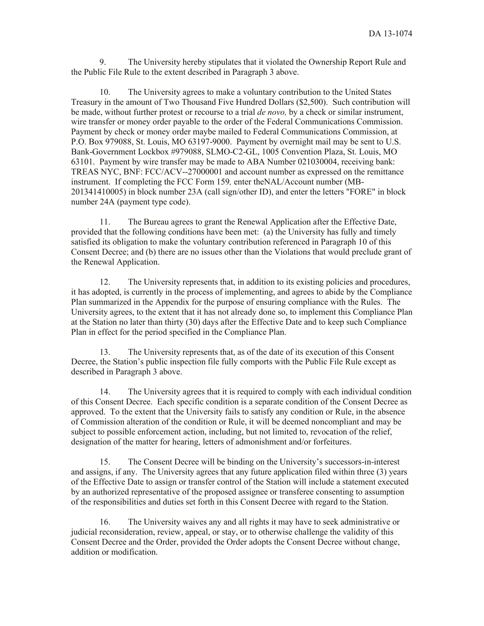9. The University hereby stipulates that it violated the Ownership Report Rule and the Public File Rule to the extent described in Paragraph 3 above.

10. The University agrees to make a voluntary contribution to the United States Treasury in the amount of Two Thousand Five Hundred Dollars (\$2,500). Such contribution will be made, without further protest or recourse to a trial *de novo,* by a check or similar instrument, wire transfer or money order payable to the order of the Federal Communications Commission. Payment by check or money order maybe mailed to Federal Communications Commission, at P.O. Box 979088, St. Louis, MO 63197-9000. Payment by overnight mail may be sent to U.S. Bank-Government Lockbox #979088, SLMO-C2-GL, 1005 Convention Plaza, St. Louis, MO 63101. Payment by wire transfer may be made to ABA Number 021030004, receiving bank: TREAS NYC, BNF: FCC/ACV--27000001 and account number as expressed on the remittance instrument. If completing the FCC Form 159*,* enter theNAL/Account number (MB-201341410005) in block number 23A (call sign/other ID), and enter the letters "FORE" in block number 24A (payment type code).

11. The Bureau agrees to grant the Renewal Application after the Effective Date, provided that the following conditions have been met: (a) the University has fully and timely satisfied its obligation to make the voluntary contribution referenced in Paragraph 10 of this Consent Decree; and (b) there are no issues other than the Violations that would preclude grant of the Renewal Application.

12. The University represents that, in addition to its existing policies and procedures, it has adopted, is currently in the process of implementing, and agrees to abide by the Compliance Plan summarized in the Appendix for the purpose of ensuring compliance with the Rules. The University agrees, to the extent that it has not already done so, to implement this Compliance Plan at the Station no later than thirty (30) days after the Effective Date and to keep such Compliance Plan in effect for the period specified in the Compliance Plan.

13. The University represents that, as of the date of its execution of this Consent Decree, the Station's public inspection file fully comports with the Public File Rule except as described in Paragraph 3 above.

14. The University agrees that it is required to comply with each individual condition of this Consent Decree. Each specific condition is a separate condition of the Consent Decree as approved. To the extent that the University fails to satisfy any condition or Rule, in the absence of Commission alteration of the condition or Rule, it will be deemed noncompliant and may be subject to possible enforcement action, including, but not limited to, revocation of the relief, designation of the matter for hearing, letters of admonishment and/or forfeitures.

15. The Consent Decree will be binding on the University's successors-in-interest and assigns, if any. The University agrees that any future application filed within three (3) years of the Effective Date to assign or transfer control of the Station will include a statement executed by an authorized representative of the proposed assignee or transferee consenting to assumption of the responsibilities and duties set forth in this Consent Decree with regard to the Station.

16. The University waives any and all rights it may have to seek administrative or judicial reconsideration, review, appeal, or stay, or to otherwise challenge the validity of this Consent Decree and the Order, provided the Order adopts the Consent Decree without change, addition or modification.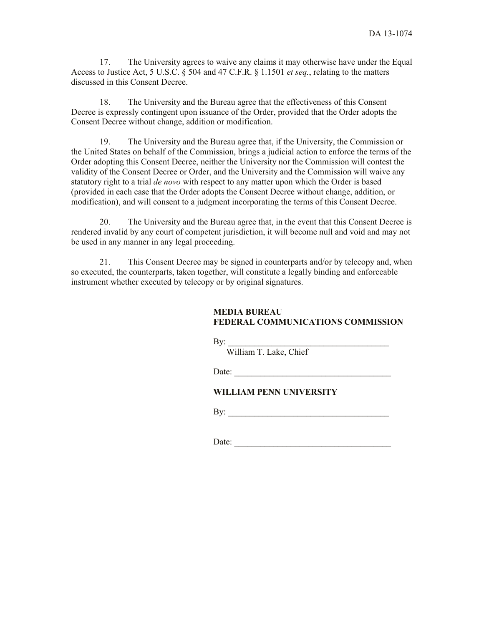17. The University agrees to waive any claims it may otherwise have under the Equal Access to Justice Act, 5 U.S.C. § 504 and 47 C.F.R. § 1.1501 *et seq.*, relating to the matters discussed in this Consent Decree.

18. The University and the Bureau agree that the effectiveness of this Consent Decree is expressly contingent upon issuance of the Order, provided that the Order adopts the Consent Decree without change, addition or modification.

19. The University and the Bureau agree that, if the University, the Commission or the United States on behalf of the Commission, brings a judicial action to enforce the terms of the Order adopting this Consent Decree, neither the University nor the Commission will contest the validity of the Consent Decree or Order, and the University and the Commission will waive any statutory right to a trial *de novo* with respect to any matter upon which the Order is based (provided in each case that the Order adopts the Consent Decree without change, addition, or modification), and will consent to a judgment incorporating the terms of this Consent Decree.

20. The University and the Bureau agree that, in the event that this Consent Decree is rendered invalid by any court of competent jurisdiction, it will become null and void and may not be used in any manner in any legal proceeding.

21. This Consent Decree may be signed in counterparts and/or by telecopy and, when so executed, the counterparts, taken together, will constitute a legally binding and enforceable instrument whether executed by telecopy or by original signatures.

#### **MEDIA BUREAU FEDERAL COMMUNICATIONS COMMISSION**

 $\mathbf{By:}$ 

William T. Lake, Chief

Date:

### **WILLIAM PENN UNIVERSITY**

By: \_\_\_\_\_\_\_\_\_\_\_\_\_\_\_\_\_\_\_\_\_\_\_\_\_\_\_\_\_\_\_\_\_\_\_\_\_

Date: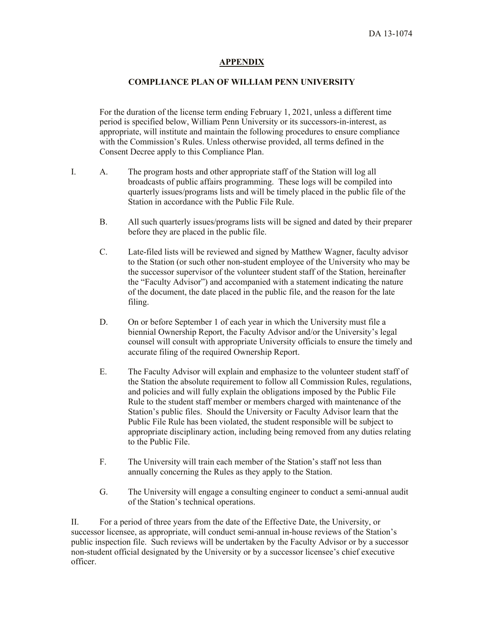#### **APPENDIX**

#### **COMPLIANCE PLAN OF WILLIAM PENN UNIVERSITY**

For the duration of the license term ending February 1, 2021, unless a different time period is specified below, William Penn University or its successors-in-interest, as appropriate, will institute and maintain the following procedures to ensure compliance with the Commission's Rules. Unless otherwise provided, all terms defined in the Consent Decree apply to this Compliance Plan.

- I. A. The program hosts and other appropriate staff of the Station will log all broadcasts of public affairs programming. These logs will be compiled into quarterly issues/programs lists and will be timely placed in the public file of the Station in accordance with the Public File Rule.
	- B. All such quarterly issues/programs lists will be signed and dated by their preparer before they are placed in the public file.
	- C. Late-filed lists will be reviewed and signed by Matthew Wagner, faculty advisor to the Station (or such other non-student employee of the University who may be the successor supervisor of the volunteer student staff of the Station, hereinafter the "Faculty Advisor") and accompanied with a statement indicating the nature of the document, the date placed in the public file, and the reason for the late filing.
	- D. On or before September 1 of each year in which the University must file a biennial Ownership Report, the Faculty Advisor and/or the University's legal counsel will consult with appropriate University officials to ensure the timely and accurate filing of the required Ownership Report.
	- E. The Faculty Advisor will explain and emphasize to the volunteer student staff of the Station the absolute requirement to follow all Commission Rules, regulations, and policies and will fully explain the obligations imposed by the Public File Rule to the student staff member or members charged with maintenance of the Station's public files. Should the University or Faculty Advisor learn that the Public File Rule has been violated, the student responsible will be subject to appropriate disciplinary action, including being removed from any duties relating to the Public File.
	- F. The University will train each member of the Station's staff not less than annually concerning the Rules as they apply to the Station.
	- G. The University will engage a consulting engineer to conduct a semi-annual audit of the Station's technical operations.

II. For a period of three years from the date of the Effective Date, the University, or successor licensee, as appropriate, will conduct semi-annual in-house reviews of the Station's public inspection file. Such reviews will be undertaken by the Faculty Advisor or by a successor non-student official designated by the University or by a successor licensee's chief executive officer.